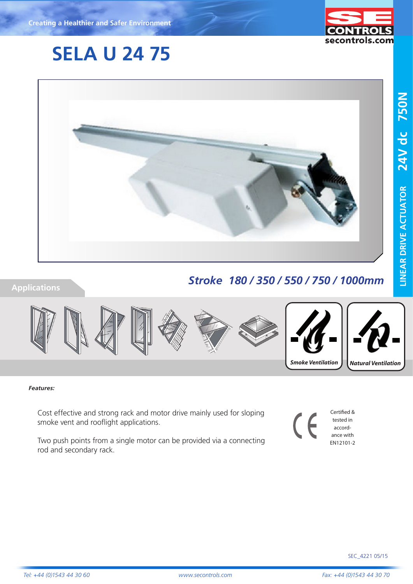# **SELA U 24 75**



### **Applications**

# *Stroke 180 / 350 / 550 / 750 / 1000mm*



#### *Features:*

Cost effective and strong rack and motor drive mainly used for sloping smoke vent and rooflight applications.

Two push points from a single motor can be provided via a connecting rod and secondary rack.

Certified &  $\epsilon$ tested in accordance with EN12101-2

secontrols.com